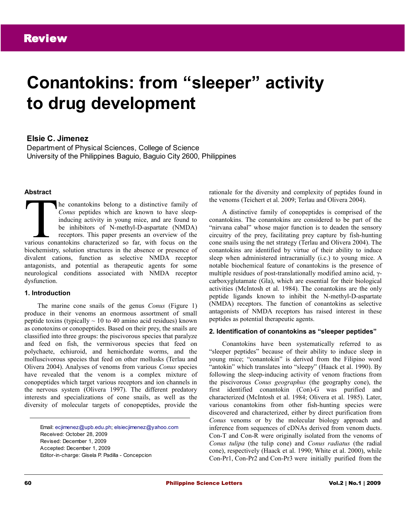# **Conantokins: from "sleeper" activity to drug development**

# **Elsie C. Jimenez**

Department of Physical Sciences, College of Science University of the Philippines Baguio, Baguio City 2600, Philippines

#### **Abstract**

he conantokins belong to a distinctive family of *Conus* peptides which are known to have sleepinducing activity in young mice, and are found to be inhibitors of N-methyl-D-aspartate (NMDA) receptors. This paper presents an overview of the The conantokins belong to a distinctive family of<br> *Conus* peptides which are known to have sleep-<br>
inducing activity in young mice, and are found to<br>
be inhibitors of N-methyl-D-aspartate (NMDA)<br>
receptors. This paper pre biochemistry, solution structures in the absence or presence of divalent cations, function as selective NMDA receptor antagonists, and potential as therapeutic agents for some neurological conditions associated with NMDA receptor dysfunction.

#### **1. Introduction**

The marine cone snails of the genus *Conus* (Figure 1) produce in their venoms an enormous assortment of small peptide toxins (typically  $\sim$  10 to 40 amino acid residues) known as conotoxins or conopeptides. Based on their prey, the snails are classified into three groups: the piscivorous species that paralyze and feed on fish, the vermivorous species that feed on polychaete, echiuroid, and hemichordate worms, and the molluscivorous species that feed on other mollusks (Terlau and Olivera 2004). Analyses of venoms from various *Conus* species have revealed that the venom is a complex mixture of conopeptides which target various receptors and ion channels in the nervous system (Olivera 1997). The different predatory interests and specializations of cone snails, as well as the diversity of molecular targets of conopeptides, provide the

Email: [ecjimenez@upb.edu.ph;](mailto:ecjimenez@upb.edu.ph) [elsiecjimenez@yahoo.com](mailto:elsiecjimenez@yahoo.com) Received: October 28, 2009 Revised: December 1, 2009 Accepted: December 1, 2009 Editor-in-charge: Gisela P. Padilla - Concepcion

rationale for the diversity and complexity of peptides found in the venoms (Teichert et al. 2009; Terlau and Olivera 2004).

A distinctive family of conopeptides is comprised of the conantokins. The conantokins are considered to be part of the "nirvana cabal" whose major function is to deaden the sensory circuitry of the prey, facilitating prey capture by fish-hunting cone snails using the net strategy (Terlau and Olivera 2004). The conantokins are identified by virtue of their ability to induce sleep when administered intracranially (i.c.) to young mice. A notable biochemical feature of conantokins is the presence of multiple residues of post-translationally modified amino acid, γcarboxyglutamate (Gla), which are essential for their biological activities (McIntosh et al. 1984). The conantokins are the only peptide ligands known to inhibit the N-methyl-D-aspartate (NMDA) receptors. The function of conantokins as selective antagonists of NMDA receptors has raised interest in these peptides as potential therapeutic agents.

#### **2. Identification of conantokins as "sleeper peptides"**

Conantokins have been systematically referred to as "sleeper peptides" because of their ability to induce sleep in young mice; "conantokin" is derived from the Filipino word "antokin" which translates into "sleepy" (Haack et al. 1990). By following the sleep-inducing activity of venom fractions from the piscivorous *Conus geographus* (the geography cone), the first identified conantokin (Con)-G was purified and characterized (McIntosh et al. 1984; Olivera et al. 1985). Later, various conantokins from other fish-hunting species were discovered and characterized, either by direct purification from *Conus* venoms or by the molecular biology approach and inference from sequences of cDNAs derived from venom ducts. Con-T and Con-R were originally isolated from the venoms of *Conus tulipa* (the tulip cone) and *Conus radiatus* (the radial cone), respectively (Haack et al. 1990; White et al. 2000), while Con-Pr1, Con-Pr2 and Con-Pr3 were initially purified from the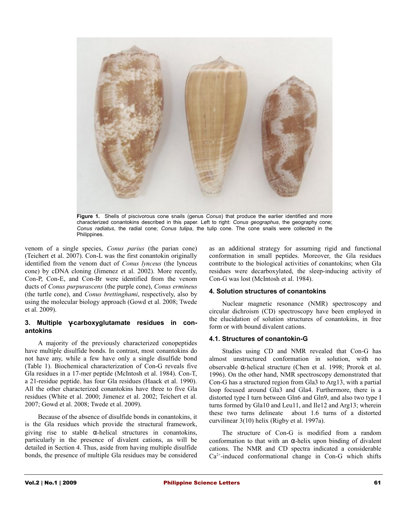

**Figure 1.** Shells of piscivorous cone snails (genus *Conus*) that produce the earlier identified and more characterized conantokins described in this paper. Left to right: *Conus geographus*, the geography cone; *Conus radiatus*, the radial cone; *Conus tulipa*, the tulip cone. The cone snails were collected in the Philippines.

venom of a single species, *Conus parius* (the parian cone) (Teichert et al. 2007). Con-L was the first conantokin originally identified from the venom duct of *Conus lynceus* (the lynceus cone) by cDNA cloning (Jimenez et al. 2002). More recently, Con-P, Con-E, and Con-Br were identified from the venom ducts of *Conus purpurascens* (the purple cone), *Conus ermineus* (the turtle cone), and *Conus brettinghami*, respectively, also by using the molecular biology approach (Gowd et al. 2008; Twede et al. 2009).

#### **3. Multiple** γ**-carboxyglutamate residues in conantokins**

A majority of the previously characterized conopeptides have multiple disulfide bonds. In contrast, most conantokins do not have any, while a few have only a single disulfide bond (Table 1). Biochemical characterization of Con-G reveals five Gla residues in a 17-mer peptide (McIntosh et al. 1984). Con-T, a 21-residue peptide, has four Gla residues (Haack et al. 1990). All the other characterized conantokins have three to five Gla residues (White et al. 2000; Jimenez et al. 2002; Teichert et al. 2007; Gowd et al. 2008; Twede et al. 2009).

Because of the absence of disulfide bonds in conantokins, it is the Gla residues which provide the structural framework, giving rise to stable  $\alpha$ -helical structures in conantokins, particularly in the presence of divalent cations, as will be detailed in Section 4. Thus, aside from having multiple disulfide bonds, the presence of multiple Gla residues may be considered

as an additional strategy for assuming rigid and functional conformation in small peptides. Moreover, the Gla residues contribute to the biological activities of conantokins; when Gla residues were decarboxylated, the sleep-inducing activity of Con-G was lost (McIntosh et al. 1984).

#### **4. Solution structures of conantokins**

Nuclear magnetic resonance (NMR) spectroscopy and circular dichroism (CD) spectroscopy have been employed in the elucidation of solution structures of conantokins, in free form or with bound divalent cations.

#### **4.1. Structures of conantokin-G**

Studies using CD and NMR revealed that Con-G has almost unstructured conformation in solution, with no observable α-helical structure (Chen et al. 1998; Prorok et al. 1996). On the other hand, NMR spectroscopy demonstrated that Con-G has a structured region from Gla3 to Arg13, with a partial loop focused around Gla3 and Gla4. Furthermore, there is a distorted type I turn between Gln6 and Gln9, and also two type I turns formed by Gla10 and Leu11, and Ile12 and Arg13; wherein these two turns delineate about 1.6 turns of a distorted curvilinear 3(10) helix (Rigby et al. 1997a).

The structure of Con-G is modified from a random conformation to that with an  $\alpha$ -helix upon binding of divalent cations. The NMR and CD spectra indicated a considerable  $Ca<sup>2+</sup>$ -induced conformational change in Con-G which shifts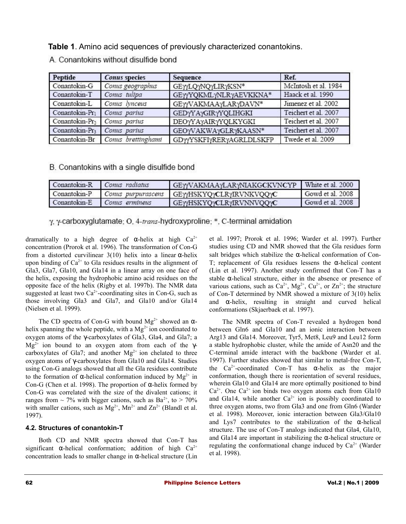**Table 1**. Amino acid sequences of previously characterized conantokins.

| Peptide                    | Conus species      | Sequence                   | Ref.                 |
|----------------------------|--------------------|----------------------------|----------------------|
| Conantokin-G               | Conus geographus   | GEYYLQYNQYLIRYKSN*         | McIntosh et al. 1984 |
| Conantokin-T               | Conus tulipa       | GEYYYQKMLYNLRYAEVKKNA*     | Haack et al. 1990    |
| Conantokin-L               | Conus lynceus      | GEY/VAKMAAYLARYDAVN*       | Jimenez et al. 2002  |
| Conantokin-Pri             | Conus parius       | <b>GEDYYAYGIRYYQLIHGKI</b> | Teichert et al. 2007 |
| Conantokin-Pr <sub>2</sub> | Conus parius       | DEOYYAYAIRYYQLKYGKI        | Teichert et al. 2007 |
| Conantokin-Pr3             | Comus parius       | GEOYVAKWAYGLRYKAASN*       | Teichert et al. 2007 |
| Conantokin-Br              | Conus brettinghami | GDYYSKFIYRERYAGRLDLSKFP    | Twede et al. 2009    |

A. Conantokins without disulfide bond

B. Conantokins with a single disulfide bond

| Conantokin-R Comus radiatus |                                     | GEYYVAKMAAYLARYNIAKGCKVNCYP   White et al. 2000 |                  |
|-----------------------------|-------------------------------------|-------------------------------------------------|------------------|
|                             | Conantokin-P   Comus purpurascens ' | GEYYHSKYQYCLRYIRVNKVQQYC                        | Gowd et al. 2008 |
|                             | Conantokin-E Comis ermineus         | GEYYHSKYQYCLRYIRVNNVQQYC                        | Gowd et al. 2008 |

γ, γ-carboxyglutamate; O, 4-trans-hydroxyproline; \*, C-terminal amidation

dramatically to a high degree of  $\alpha$ -helix at high  $Ca^{2+}$ concentration (Prorok et al. 1996). The transformation of Con-G from a distorted curvilinear  $3(10)$  helix into a linear  $\alpha$ -helix upon binding of  $Ca^{2+}$  to Gla residues results in the alignment of Gla3, Gla7, Gla10, and Gla14 in a linear array on one face of the helix, exposing the hydrophobic amino acid residues on the opposite face of the helix (Rigby et al. 1997b). The NMR data suggested at least two  $Ca^{2+}$ -coordinating sites in Con-G, such as those involving Gla3 and Gla7, and Gla10 and/or Gla14 (Nielsen et al. 1999).

The CD spectra of Con-G with bound  $Mg^{2+}$  showed an  $\alpha$ helix spanning the whole peptide, with a  $Mg^{2+}$  ion coordinated to oxygen atoms of the γ-carboxylates of Gla3, Gla4, and Gla7; a  $Mg^{2+}$  ion bound to an oxygen atom from each of the  $\gamma$ carboxylates of Gla7; and another  $Mg^{2+}$  ion chelated to three oxygen atoms of γ-carboxylates from Gla10 and Gla14. Studies using Con-G analogs showed that all the Gla residues contribute to the formation of  $\alpha$ -helical conformation induced by  $Mg^{2+}$  in Con-G (Chen et al. 1998). The proportion of α-helix formed by Con-G was correlated with the size of the divalent cations; it ranges from  $\sim$  7% with bigger cations, such as Ba<sup>2+</sup>, to  $>$  70% with smaller cations, such as  $Mg^{2+}$ ,  $Mn^{2+}$  and  $Zn^{2+}$  (Blandl et al. 1997).

# **4.2. Structures of conantokin-T**

Both CD and NMR spectra showed that Con-T has significant  $\alpha$ -helical conformation; addition of high  $Ca^{2+}$ concentration leads to smaller change in  $\alpha$ -helical structure (Lin et al. 1997; Prorok et al. 1996; Warder et al. 1997). Further studies using CD and NMR showed that the Gla residues form salt bridges which stabilize the  $\alpha$ -helical conformation of Con-T; replacement of Gla residues lessens the α-helical content (Lin et al. 1997). Another study confirmed that Con-T has a stable α-helical structure, either in the absence or presence of various cations, such as  $Ca^{2+}$ ,  $Mg^{2+}$ ,  $Cu^{2+}$ , or  $Zn^{2+}$ ; the structure of Con-T determined by NMR showed a mixture of 3(10) helix and α-helix, resulting in straight and curved helical conformations (Skjaerbaek et al. 1997).

The NMR spectra of Con-T revealed a hydrogen bond between Gln6 and Gla10 and an ionic interaction between Arg13 and Gla14. Moreover, Tyr5, Met8, Leu9 and Leu12 form a stable hydrophobic cluster, while the amide of Asn20 and the C-terminal amide interact with the backbone (Warder et al. 1997). Further studies showed that similar to metal-free Con-T, the  $Ca^{2+}$ -coordinated Con-T has  $\alpha$ -helix as the major conformation, though there is reorientation of several residues, wherein Gla10 and Gla14 are more optimally positioned to bind  $Ca^{2+}$ . One  $Ca^{2+}$  ion binds two oxygen atoms each from Gla10 and Gla14, while another  $Ca^{2+}$  ion is possibly coordinated to three oxygen atoms, two from Gla3 and one from Gln6 (Warder et al. 1998). Moreover, ionic interaction between Gla3/Gla10 and Lys7 contributes to the stabilization of the  $\alpha$ -helical structure. The use of Con-T analogs indicated that Gla4, Gla10, and Gla14 are important in stabilizing the  $\alpha$ -helical structure or regulating the conformational change induced by  $Ca^{2+}$  (Warder et al. 1998).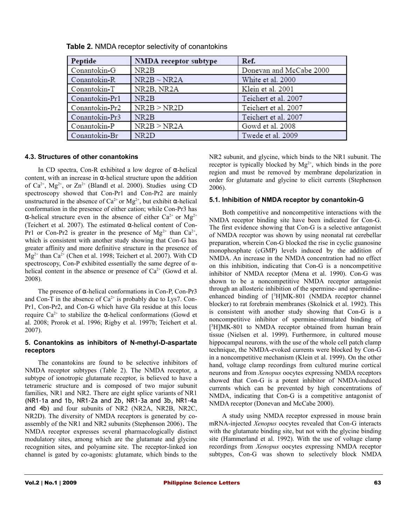| Peptide        | <b>NMDA</b> receptor subtype | Ref.                    |
|----------------|------------------------------|-------------------------|
| Conantokin-G   | NR <sub>2</sub> B            | Donevan and McCabe 2000 |
| Conantokin-R   | $NR2B \sim NR2A$             | White et al. 2000       |
| Conantokin-T   | NR2B, NR2A                   | Klein et al. 2001       |
| Conantokin-Pr1 | NR <sub>2</sub> B            | Teichert et al. 2007    |
| Conantokin-Pr2 | NR2B > NR2D                  | Teichert et al. 2007    |
| Conantokin-Pr3 | NR <sub>2</sub> B            | Teichert et al. 2007    |
| Conantokin-P   | NR2B > NR2A                  | Gowd et al. 2008        |
| Conantokin-Br  | NR <sub>2</sub> D            | Twede et al. 2009       |

**Table 2.** NMDA receptor selectivity of conantokins

## **4.3. Structures of other conantokins**

In CD spectra, Con-R exhibited a low degree of α-helical content, with an increase in  $\alpha$ -helical structure upon the addition of  $Ca^{2+}$ , Mg<sup>2+</sup>, or  $Zn^{2+}$  (Blandl et al. 2000). Studies using CD spectroscopy showed that Con-Pr1 and Con-Pr2 are mainly unstructured in the absence of  $Ca^{2+}$  or  $Mg^{2+}$ , but exhibit  $\alpha$ -helical conformation in the presence of either cation; while Con-Pr3 has α-helical structure even in the absence of either  $Ca<sup>2+</sup>$  or Mg<sup>2+</sup> (Teichert et al. 2007). The estimated α-helical content of Con-Pr1 or Con-Pr2 is greater in the presence of  $Mg^{2+}$  than  $Ca^{2+}$ , which is consistent with another study showing that Con-G has greater affinity and more definitive structure in the presence of  $Mg^{2+}$  than Ca<sup>2+</sup> (Chen et al. 1998; Teichert et al. 2007). With CD spectroscopy, Con-P exhibited essentially the same degree of αhelical content in the absence or presence of  $Ca^{2+}$  (Gowd et al. 2008).

The presence of α-helical conformations in Con-P, Con-Pr3 and Con-T in the absence of  $Ca^{2+}$  is probably due to Lys7. Con-Pr1, Con-Pr2, and Con-G which have Gla residue at this locus require Ca<sup>2+</sup> to stabilize the α-helical conformations (Gowd et al. 2008; Prorok et al. 1996; Rigby et al. 1997b; Teichert et al. 2007).

## **5. Conantokins as inhibitors of N-methyl-D-aspartate receptors**

The conantokins are found to be selective inhibitors of NMDA receptor subtypes (Table 2). The NMDA receptor, a subtype of ionotropic glutamate receptor, is believed to have a tetrameric structure and is composed of two major subunit families, NR1 and NR2. There are eight splice variants of NR1 (NR1-1a and 1b, NR1-2a and 2b, NR1-3a and 3b, NR1-4a and 4b) and four subunits of NR2 (NR2A, NR2B, NR2C, NR2D). The diversity of NMDA receptors is generated by coassembly of the NR1 and NR2 subunits (Stephenson 2006). The NMDA receptor expresses several pharmacologically distinct modulatory sites, among which are the glutamate and glycine recognition sites, and polyamine site. The receptor-linked ion channel is gated by co-agonists: glutamate, which binds to the

NR2 subunit, and glycine, which binds to the NR1 subunit. The receptor is typically blocked by  $Mg^{2+}$ , which binds in the pore region and must be removed by membrane depolarization in order for glutamate and glycine to elicit currents (Stephenson 2006).

## **5.1. Inhibition of NMDA receptor by conantokin-G**

Both competitive and noncompetitive interactions with the NMDA receptor binding site have been indicated for Con-G. The first evidence showing that Con-G is a selective antagonist of NMDA receptor was shown by using neonatal rat cerebellar preparation, wherein Con-G blocked the rise in cyclic guanosine monophosphate (cGMP) levels induced by the addition of NMDA. An increase in the NMDA concentration had no effect on this inhibition, indicating that Con-G is a noncompetitive inhibitor of NMDA receptor (Mena et al. 1990). Con-G was shown to be a noncompetitive NMDA receptor antagonist through an allosteric inhibition of the spermine- and spermidineenhanced binding of  $[^3H]MK-801$  (NMDA receptor channel blocker) to rat forebrain membranes (Skolnick et al. 1992). This is consistent with another study showing that Con-G is a noncompetitive inhibitor of spermine-stimulated binding of [<sup>3</sup>H]MK-801 to NMDA receptor obtained from human brain tissue (Nielsen et al. 1999). Furthermore, in cultured mouse hippocampal neurons, with the use of the whole cell patch clamp technique, the NMDA-evoked currents were blocked by Con-G in a noncompetitive mechanism (Klein et al. 1999). On the other hand, voltage clamp recordings from cultured murine cortical neurons and from *Xenopus* oocytes expressing NMDA receptors showed that Con-G is a potent inhibitor of NMDA-induced currents which can be prevented by high concentrations of NMDA, indicating that Con-G is a competitive antagonist of NMDA receptor (Donevan and McCabe 2000).

A study using NMDA receptor expressed in mouse brain mRNA-injected *Xenopus* oocytes revealed that Con-G interacts with the glutamate binding site, but not with the glycine binding site (Hammerland et al. 1992). With the use of voltage clamp recordings from *Xenopus* oocytes expressing NMDA receptor subtypes, Con-G was shown to selectively block NMDA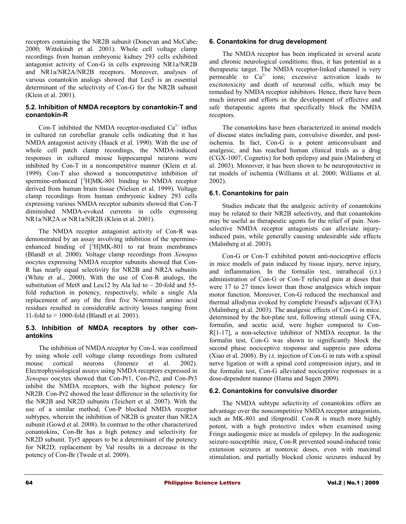receptors containing the NR2B subunit (Donevan and McCabe, 2000; Wittekindt et al. 2001). Whole cell voltage clamp recordings from human embryonic kidney 293 cells exhibited antagonist activity of Con-G in cells expressing NR1a/NR2B and NR1a/NR2A/NR2B receptors. Moreover, analyses of various conantokin analogs showed that Leu5 is an essential determinant of the selectivity of Con-G for the NR2B subunit (Klein et al. 2001).

#### **5.2. Inhibition of NMDA receptors by conantokin-T and conantokin-R**

Con-T inhibited the NMDA receptor-mediated  $Ca^{2+}$  influx in cultured rat cerebellar granule cells indicating that it has NMDA antagonist activity (Haack et al. 1990). With the use of whole cell patch clamp recordings, the NMDA-induced responses in cultured mouse hippocampal neurons were inhibited by Con-T in a noncompetitive manner (Klein et al. 1999). Con-T also showed a noncompetitive inhibition of spermine-enhanced  $[3H]MK-801$  binding to NMDA receptor derived from human brain tissue (Nielsen et al. 1999). Voltage clamp recordings from human embryonic kidney 293 cells expressing various NMDA receptor subunits showed that Con-T diminished NMDA-evoked currents in cells expressing NR1a/NR2A or NR1a/NR2B (Klein et al. 2001).

The NMDA receptor antagonist activity of Con-R was demonstrated by an assay involving inhibition of the spermineenhanced binding of  $[^3H]MK-801$  to rat brain membranes (Blandl et al. 2000). Voltage clamp recordings from *Xenopus* oocytes expressing NMDA receptor subunits showed that Con-R has nearly equal selectivity for NR2B and NR2A subunits (White et al., 2000). With the use of Con-R analogs, the substitution of Met8 and Leu12 by Ala led to  $\sim$  20-fold and 55fold reduction in potency, respectively, while a single Ala replacement of any of the first five N-terminal amino acid residues resulted in considerable activity losses ranging from 11-fold to > 1000-fold (Blandl et al. 2001).

## **5.3. Inhibition of NMDA receptors by other conantokins**

The inhibition of NMDA receptor by Con-L was confirmed by using whole cell voltage clamp recordings from cultured mouse cortical neurons (Jimenez et al. 2002). Electrophysiological assays using NMDA receptors expressed in *Xenopus* oocytes showed that Con-Pr1, Con-Pr2, and Con-Pr3 inhibit the NMDA receptors, with the highest potency for NR2B. Con-Pr2 showed the least difference in the selectivity for the NR2B and NR2D subunits (Teichert et al. 2007). With the use of a similar method, Con-P blocked NMDA receptor subtypes, wherein the inhibition of NR2B is greater than NR2A subunit (Gowd et al. 2008). In contrast to the other characterized conantokins, Con-Br has a high potency and selectivity for NR2D subunit. Tyr5 appears to be a determinant of the potency for NR2D; replacement by Val results in a decrease in the potency of Con-Br (Twede et al. 2009).

#### **6. Conantokins for drug development**

The NMDA receptor has been implicated in several acute and chronic neurological conditions; thus, it has potential as a therapeutic target. The NMDA receptor-linked channel is very permeable to  $Ca^{2+}$  ions; excessive activation leads to excitotoxicity and death of neuronal cells, which may be remedied by NMDA receptor inhibitors. Hence, there have been much interest and efforts in the development of effective and safe therapeutic agents that specifically block the NMDA receptors.

The conantokins have been characterized in animal models of disease states including pain, convulsive disorder, and postischemia. In fact, Con-G is a potent anticonvulsant and analgesic, and has reached human clinical trials as a drug (CGX-1007, Cognetix) for both epilepsy and pain (Malmberg et al. 2003). Moreover, it has been shown to be neuroprotective in rat models of ischemia (Williams et al. 2000; Williams et al. 2002).

# **6.1. Conantokins for pain**

Studies indicate that the analgesic activity of conantokins may be related to their NR2B selectivity, and that conantokins may be useful as therapeutic agents for the relief of pain. Nonselective NMDA receptor antagonists can alleviate injuryinduced pain, while generally causing undesirable side effects (Malmberg et al. 2003).

Con-G or Con-T exhibited potent anti-nociceptive effects in mice models of pain induced by tissue injury, nerve injury, and inflammation. In the formalin test, intrathecal (i.t.) administration of Con-G or Con-T relieved pain at doses that were 17 to 27 times lower than those analgesics which impair motor function. Moreover, Con-G reduced the mechanical and thermal allodynia evoked by complete Freund's adjuvant (CFA) (Malmberg et al. 2003). The analgesic effects of Con-G in mice, determined by the hot-plate test, following stimuli using CFA, formalin, and acetic acid, were higher compared to Con-R[1-17], a non-selective inhibitor of NMDA receptor. In the formalin test, Con-G was shown to significantly block the second phase nociceptive response and suppress paw edema (Xiao et al. 2008). By i.t. injection of Con-G in rats with a spinal nerve ligation or with a spinal cord compression injury, and in the formalin test, Con-G alleviated nociceptive responses in a dose-dependent manner (Hama and Sagen 2009).

# **6.2. Conantokins for convulsive disorder**

The NMDA subtype selectivity of conantokins offers an advantage over the noncompetitive NMDA receptor antagonists, such as MK-801 and ifenprodil. Con-R is much more highly potent, with a high protective index when examined using Frings audiogenic mice as models of epilepsy. In the audiogenic seizure-susceptible mice, Con-R prevented sound-induced tonic extension seizures at nontoxic doses, even with maximal stimulation, and partially blocked clonic seizures induced by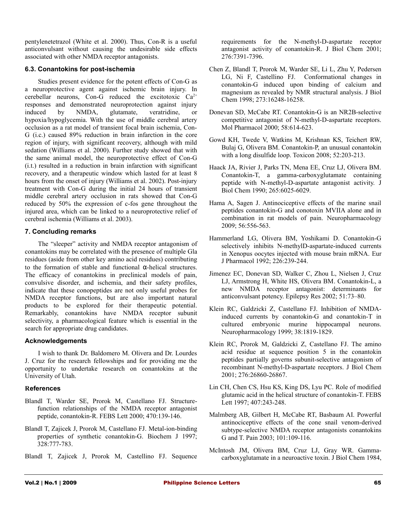pentylenetetrazol (White et al. 2000). Thus, Con-R is a useful anticonvulsant without causing the undesirable side effects associated with other NMDA receptor antagonists.

## **6.3. Conantokins for post-ischemia**

Studies present evidence for the potent effects of Con-G as a neuroprotective agent against ischemic brain injury. In cerebellar neurons, Con-G reduced the excitotoxic  $Ca^{2+}$ responses and demonstrated neuroprotection against injury induced by NMDA, glutamate, veratridine, or hypoxia/hypoglycemia. With the use of middle cerebral artery occlusion as a rat model of transient focal brain ischemia, Con-G (i.c.) caused 89% reduction in brain infarction in the core region of injury, with significant recovery, although with mild sedation (Williams et al. 2000). Further study showed that with the same animal model, the neuroprotective effect of Con-G (i.t.) resulted in a reduction in brain infarction with significant recovery, and a therapeutic window which lasted for at least 8 hours from the onset of injury (Williams et al. 2002). Post-injury treatment with Con-G during the initial 24 hours of transient middle cerebral artery occlusion in rats showed that Con-G reduced by 50% the expression of c-fos gene throughout the injured area, which can be linked to a neuroprotective relief of cerebral ischemia (Williams et al. 2003).

# **7. Concluding remarks**

The "sleeper" activity and NMDA receptor antagonism of conantokins may be correlated with the presence of multiple Gla residues (aside from other key amino acid residues) contributing to the formation of stable and functional α-helical structures. The efficacy of conantokins in preclinical models of pain, convulsive disorder, and ischemia, and their safety profiles, indicate that these conopeptides are not only useful probes for NMDA receptor functions, but are also important natural products to be explored for their therapeutic potential. Remarkably, conantokins have NMDA receptor subunit selectivity, a pharmacological feature which is essential in the search for appropriate drug candidates.

# **Acknowledgements**

I wish to thank Dr. Baldomero M. Olivera and Dr. Lourdes J. Cruz for the research fellowships and for providing me the opportunity to undertake research on conantokins at the University of Utah.

# **References**

- Blandl T, Warder SE, Prorok M, Castellano FJ. Structurefunction relationships of the NMDA receptor antagonist peptide, conantokin-R. FEBS Lett 2000; 470:139-146.
- Blandl T, Zajicek J, Prorok M, Castellano FJ. Metal-ion-binding properties of synthetic conantokin-G. Biochem J 1997; 328:777-783.
- Blandl T, Zajicek J, Prorok M, Castellino FJ. Sequence

requirements for the N-methyl-D-aspartate receptor antagonist activity of conantokin-R. J Biol Chem 2001; 276:7391-7396.

- Chen Z, Blandl T, Prorok M, Warder SE, Li L, Zhu Y, Pedersen LG, Ni F, Castellino FJ. Conformational changes in conantokin-G induced upon binding of calcium and magnesium as revealed by NMR structural analysis. J Biol Chem 1998; 273:16248-16258.
- Donevan SD, McCabe RT. Conantokin-G is an NR2B-selective competitive antagonist of N-methyl-D-aspartate receptors. Mol Pharmacol 2000; 58:614-623.
- Gowd KH, Twede V, Watkins M, Krishnan KS, Teichert RW, Bulaj G, Olivera BM. Conantokin-P, an unusual conantokin with a long disulfide loop. Toxicon 2008; 52:203-213.
- Haack JA, Rivier J, Parks TN, Mena EE, Cruz LJ, Olivera BM. Conantokin-T, a gamma-carboxyglutamate containing peptide with N-methyl-D-aspartate antagonist activity. J Biol Chem 1990; 265:6025-6029.
- Hama A, Sagen J. Antinociceptive effects of the marine snail peptides conantokin-G and conotoxin MVIIA alone and in combination in rat models of pain. Neuropharmacology 2009; 56:556-563.
- Hammerland LG, Olivera BM, Yoshikami D. Conantokin-G selectively inhibits N-methylD-aspartate-induced currents in Xenopus oocytes injected with mouse brain mRNA. Eur J Pharmacol 1992; 226:239-244.
- Jimenez EC, Donevan SD, Walker C, Zhou L, Nielsen J, Cruz LJ, Armstrong H, White HS, Olivera BM. Conantokin-L, a new NMDA receptor antagonist: determinants for anticonvulsant potency. Epilepsy Res 2002; 51:73*–*80.
- Klein RC, Galdzicki Z, Castellano FJ. Inhibition of NMDAinduced currents by conantokin-G and conantokin-T in cultured embryonic murine hippocampal neurons. Neuropharmacology 1999; 38:1819-1829.
- Klein RC, Prorok M, Galdzicki Z, Castellano FJ. The amino acid residue at sequence position 5 in the conantokin peptides partially governs subunit-selective antagonism of recombinant N-methyl-D-aspartate receptors. J Biol Chem 2001; 276:26860-26867.
- Lin CH, Chen CS, Hsu KS, King DS, Lyu PC. Role of modified glutamic acid in the helical structure of conantokin-T. FEBS Lett 1997; 407:243-248.
- Malmberg AB, Gilbert H, McCabe RT, Basbaum AI. Powerful antinociceptive effects of the cone snail venom-derived subtype-selective NMDA receptor antagonists conantokins G and T. Pain 2003; 101:109-116.
- McIntosh JM, Olivera BM, Cruz LJ, Gray WR. Gammacarboxyglutamate in a neuroactive toxin. J Biol Chem 1984,